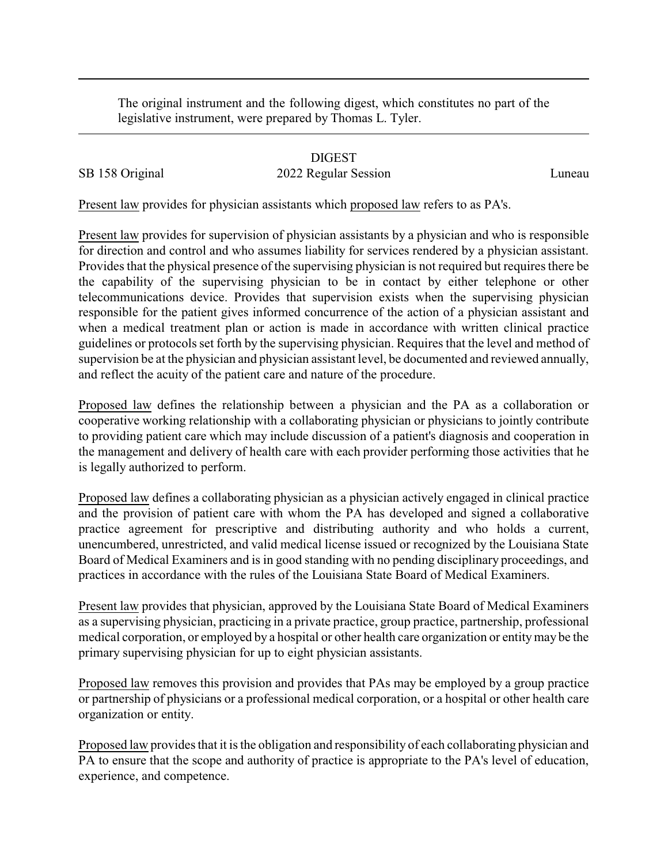The original instrument and the following digest, which constitutes no part of the legislative instrument, were prepared by Thomas L. Tyler.

## DIGEST

## SB 158 Original 2022 Regular Session Luneau

Present law provides for physician assistants which proposed law refers to as PA's.

Present law provides for supervision of physician assistants by a physician and who is responsible for direction and control and who assumes liability for services rendered by a physician assistant. Provides that the physical presence of the supervising physician is not required but requires there be the capability of the supervising physician to be in contact by either telephone or other telecommunications device. Provides that supervision exists when the supervising physician responsible for the patient gives informed concurrence of the action of a physician assistant and when a medical treatment plan or action is made in accordance with written clinical practice guidelines or protocols set forth by the supervising physician. Requires that the level and method of supervision be at the physician and physician assistant level, be documented and reviewed annually, and reflect the acuity of the patient care and nature of the procedure.

Proposed law defines the relationship between a physician and the PA as a collaboration or cooperative working relationship with a collaborating physician or physicians to jointly contribute to providing patient care which may include discussion of a patient's diagnosis and cooperation in the management and delivery of health care with each provider performing those activities that he is legally authorized to perform.

Proposed law defines a collaborating physician as a physician actively engaged in clinical practice and the provision of patient care with whom the PA has developed and signed a collaborative practice agreement for prescriptive and distributing authority and who holds a current, unencumbered, unrestricted, and valid medical license issued or recognized by the Louisiana State Board of Medical Examiners and is in good standing with no pending disciplinary proceedings, and practices in accordance with the rules of the Louisiana State Board of Medical Examiners.

Present law provides that physician, approved by the Louisiana State Board of Medical Examiners as a supervising physician, practicing in a private practice, group practice, partnership, professional medical corporation, or employed by a hospital or other health care organization or entitymay be the primary supervising physician for up to eight physician assistants.

Proposed law removes this provision and provides that PAs may be employed by a group practice or partnership of physicians or a professional medical corporation, or a hospital or other health care organization or entity.

Proposed law provides that it is the obligation and responsibility of each collaborating physician and PA to ensure that the scope and authority of practice is appropriate to the PA's level of education, experience, and competence.